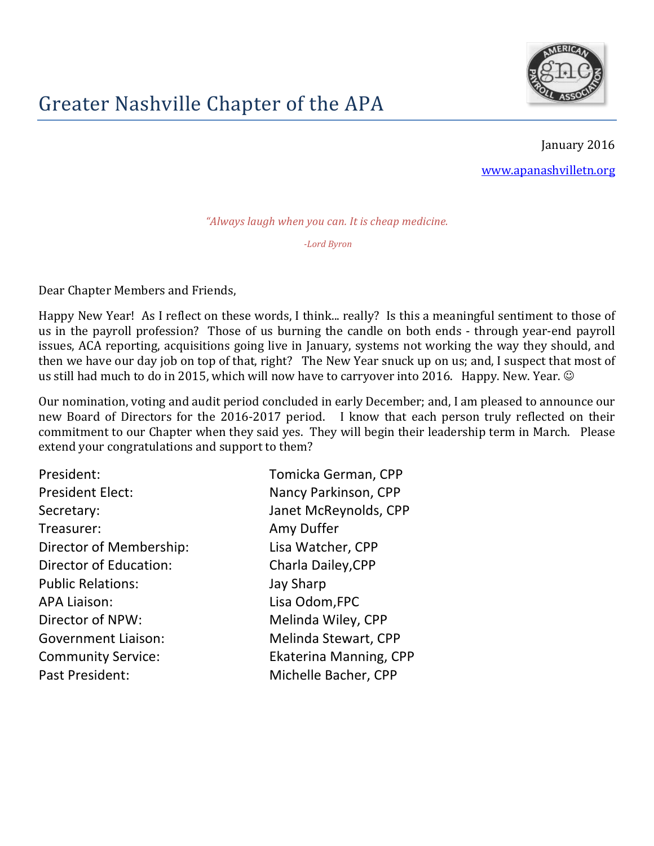



January 2016

www.apanashvilletn.org

"Always laugh when you can. It is cheap medicine.

*-Lord Byron*

Dear Chapter Members and Friends,

Happy New Year! As I reflect on these words, I think... really? Is this a meaningful sentiment to those of us in the payroll profession? Those of us burning the candle on both ends - through year-end payroll issues, ACA reporting, acquisitions going live in January, systems not working the way they should, and then we have our day job on top of that, right? The New Year snuck up on us; and, I suspect that most of us still had much to do in 2015, which will now have to carryover into 2016. Happy. New. Year.  $\odot$ 

Our nomination, voting and audit period concluded in early December; and, I am pleased to announce our new Board of Directors for the 2016-2017 period. I know that each person truly reflected on their commitment to our Chapter when they said yes. They will begin their leadership term in March. Please extend your congratulations and support to them?

| President:                 | Tomicka German, CPP    |
|----------------------------|------------------------|
| <b>President Elect:</b>    | Nancy Parkinson, CPP   |
| Secretary:                 | Janet McReynolds, CPP  |
| Treasurer:                 | Amy Duffer             |
| Director of Membership:    | Lisa Watcher, CPP      |
| Director of Education:     | Charla Dailey, CPP     |
| <b>Public Relations:</b>   | <b>Jay Sharp</b>       |
| <b>APA Liaison:</b>        | Lisa Odom, FPC         |
| Director of NPW:           | Melinda Wiley, CPP     |
| <b>Government Liaison:</b> | Melinda Stewart, CPP   |
| <b>Community Service:</b>  | Ekaterina Manning, CPP |
| Past President:            | Michelle Bacher, CPP   |